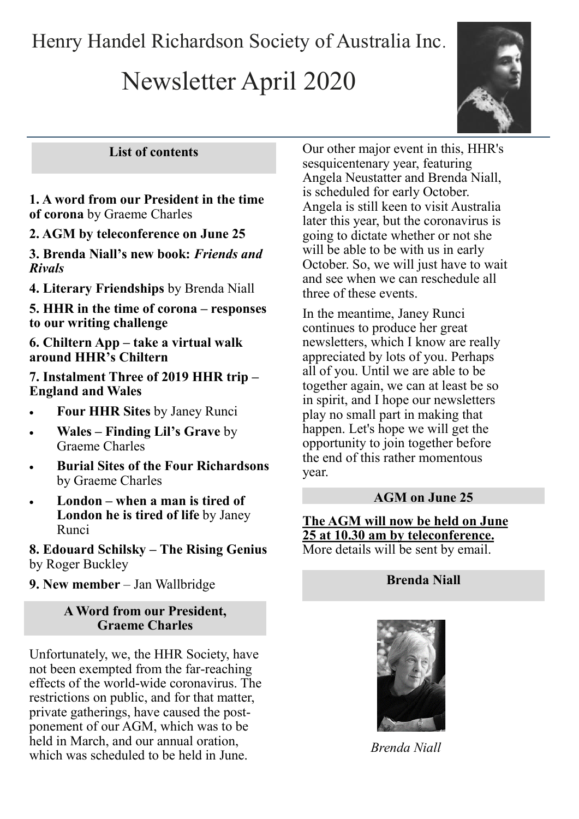Henry Handel Richardson Society of Australia Inc.

# Newsletter April 2020



## **List of contents**

## **1. A word from our President in the time of corona** by Graeme Charles

## **2. AGM by teleconference on June 25**

**3. Brenda Niall's new book:** *Friends and Rivals*

**4. Literary Friendships** by Brenda Niall

**5. HHR in the time of corona – responses to our writing challenge**

**6. Chiltern App – take a virtual walk around HHR's Chiltern** 

**7. Instalment Three of 2019 HHR trip – England and Wales**

- **Four HHR Sites** by Janey Runci
- **Wales – Finding Lil's Grave** by Graeme Charles
- **Burial Sites of the Four Richardsons**  by Graeme Charles
- **London – when a man is tired of London he is tired of life** by Janey Runci

**8. Edouard Schilsky – The Rising Genius**  by Roger Buckley

**9. New member** – Jan Wallbridge

#### **A Word from our President, Graeme Charles**

Unfortunately, we, the HHR Society, have not been exempted from the far-reaching effects of the world-wide coronavirus. The restrictions on public, and for that matter, private gatherings, have caused the postponement of our AGM, which was to be held in March, and our annual oration, which was scheduled to be held in June.

Our other major event in this, HHR's sesquicentenary year, featuring Angela Neustatter and Brenda Niall, is scheduled for early October. Angela is still keen to visit Australia later this year, but the coronavirus is going to dictate whether or not she will be able to be with us in early October. So, we will just have to wait and see when we can reschedule all three of these events.

In the meantime, Janey Runci continues to produce her great newsletters, which I know are really appreciated by lots of you. Perhaps all of you. Until we are able to be together again, we can at least be so in spirit, and I hope our newsletters play no small part in making that happen. Let's hope we will get the opportunity to join together before the end of this rather momentous year.

#### **AGM on June 25**

**The AGM will now be held on June 25 at 10.30 am by teleconference.**  More details will be sent by email.

## **Brenda Niall**



*Brenda Niall*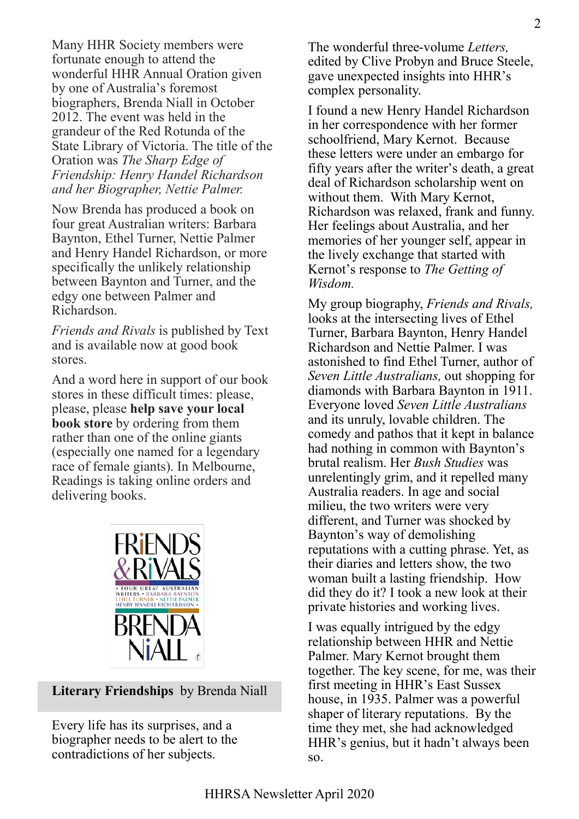Many HHR Society members were fortunate enough to attend the wonderful HHR Annual Oration given by one of Australia's foremost biographers, Brenda Niall in October 2012. The event was held in the grandeur of the Red Rotunda of the State Library of Victoria. The title of the Oration was *The Sharp Edge of Friendship: Henry Handel Richardson and her Biographer, Nettie Palmer.*

Now Brenda has produced a book on four great Australian writers: Barbara Baynton, Ethel Turner, Nettie Palmer and Henry Handel Richardson, or more specifically the unlikely relationship between Baynton and Turner, and the edgy one between Palmer and Richardson.

*Friends and Rivals* is published by Text and is available now at good book stores.

And a word here in support of our book stores in these difficult times: please, please, please **help save your local book store** by ordering from them rather than one of the online giants (especially one named for a legendary race of female giants). In Melbourne, Readings is taking online orders and delivering books.



#### **Literary Friendships** by Brenda Niall

Every life has its surprises, and a biographer needs to be alert to the contradictions of her subjects.

The wonderful three-volume *Letters,* edited by Clive Probyn and Bruce Steele, gave unexpected insights into HHR's complex personality.

I found a new Henry Handel Richardson in her correspondence with her former schoolfriend, Mary Kernot. Because these letters were under an embargo for fifty years after the writer's death, a great deal of Richardson scholarship went on without them. With Mary Kernot, Richardson was relaxed, frank and funny. Her feelings about Australia, and her memories of her younger self, appear in the lively exchange that started with Kernot's response to *The Getting of Wisdom.* 

My group biography, *Friends and Rivals,* looks at the intersecting lives of Ethel Turner, Barbara Baynton, Henry Handel Richardson and Nettie Palmer. I was astonished to find Ethel Turner, author of *Seven Little Australians,* out shopping for diamonds with Barbara Baynton in 1911. Everyone loved *Seven Little Australians* and its unruly, lovable children. The comedy and pathos that it kept in balance had nothing in common with Baynton's brutal realism. Her *Bush Studies* was unrelentingly grim, and it repelled many Australia readers. In age and social milieu, the two writers were very different, and Turner was shocked by Baynton's way of demolishing reputations with a cutting phrase. Yet, as their diaries and letters show, the two woman built a lasting friendship. How did they do it? I took a new look at their private histories and working lives.

I was equally intrigued by the edgy relationship between HHR and Nettie Palmer. Mary Kernot brought them together. The key scene, for me, was their first meeting in HHR's East Sussex house, in 1935. Palmer was a powerful shaper of literary reputations. By the time they met, she had acknowledged HHR's genius, but it hadn't always been so.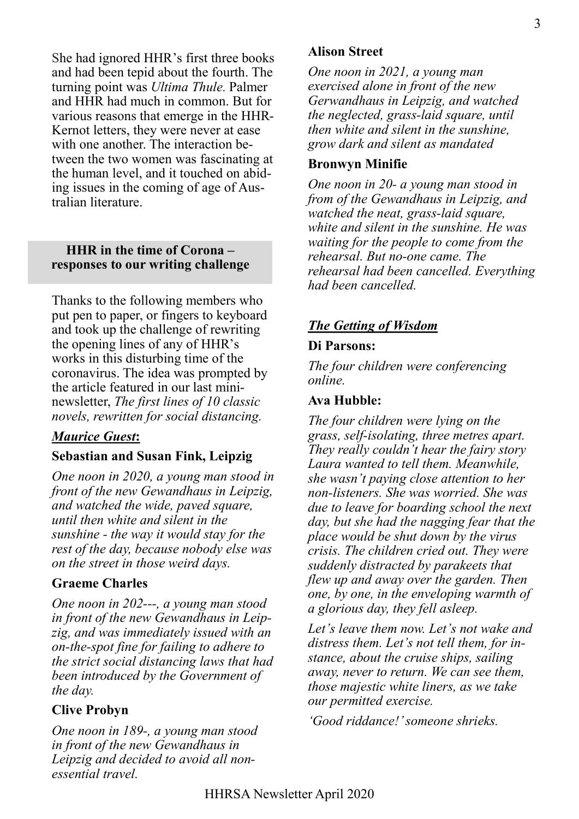She had ignored HHR's first three books and had been tepid about the fourth. The turning point was *Ultima Thule.* Palmer and HHR had much in common. But for various reasons that emerge in the HHR-Kernot letters, they were never at ease with one another. The interaction between the two women was fascinating at the human level, and it touched on abiding issues in the coming of age of Australian literature.

#### **HHR in the time of Corona – responses to our writing challenge**

Thanks to the following members who put pen to paper, or fingers to keyboard and took up the challenge of rewriting the opening lines of any of HHR's works in this disturbing time of the coronavirus. The idea was prompted by the article featured in our last mininewsletter, *The first lines of 10 classic novels, rewritten for social distancing.*

## *Maurice Guest***:**

#### **Sebastian and Susan Fink, Leipzig**

*One noon in 2020, a young man stood in front of the new Gewandhaus in Leipzig, and watched the wide, paved square, until then white and silent in the sunshine - the way it would stay for the rest of the day, because nobody else was on the street in those weird days.* 

#### **Graeme Charles**

*One noon in 202---, a young man stood in front of the new Gewandhaus in Leipzig, and was immediately issued with an on-the-spot fine for failing to adhere to the strict social distancing laws that had been introduced by the Government of the day.*

#### **Clive Probyn**

*One noon in 189-, a young man stood in front of the new Gewandhaus in Leipzig and decided to avoid all nonessential travel.*

#### **Alison Street**

*One noon in 2021, a young man exercised alone in front of the new Gerwandhaus in Leipzig, and watched the neglected, grass-laid square, until then white and silent in the sunshine, grow dark and silent as mandated*

#### **Bronwyn Minifie**

*One noon in 20- a young man stood in from of the Gewandhaus in Leipzig, and watched the neat, grass-laid square, white and silent in the sunshine. He was waiting for the people to come from the rehearsal. But no-one came. The rehearsal had been cancelled. Everything had been cancelled.*

# *The Getting of Wisdom*

#### **Di Parsons:**

*The four children were conferencing online.*

#### **Ava Hubble:**

*The four children were lying on the grass, self-isolating, three metres apart. They really couldn't hear the fairy story Laura wanted to tell them. Meanwhile, she wasn't paying close attention to her non-listeners. She was worried. She was due to leave for boarding school the next day, but she had the nagging fear that the place would be shut down by the virus crisis. The children cried out. They were suddenly distracted by parakeets that flew up and away over the garden. Then one, by one, in the enveloping warmth of a glorious day, they fell asleep.*

*Let's leave them now. Let's not wake and distress them. Let's not tell them, for instance, about the cruise ships, sailing away, never to return. We can see them, those majestic white liners, as we take our permitted exercise.*

*'Good riddance!' someone shrieks.*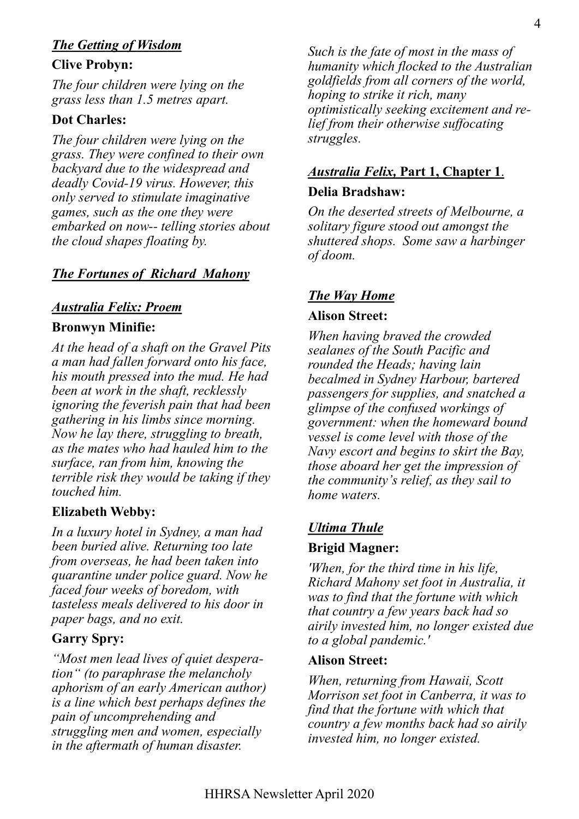# *The Getting of Wisdom*

## **Clive Probyn:**

*The four children were lying on the grass less than 1.5 metres apart.* 

# **Dot Charles:**

*The four children were lying on the grass. They were confined to their own backyard due to the widespread and deadly Covid-19 virus. However, this only served to stimulate imaginative games, such as the one they were embarked on now-- telling stories about the cloud shapes floating by.*

# *The Fortunes of Richard Mahony*

# *Australia Felix: Proem*

## **Bronwyn Minifie:**

*At the head of a shaft on the Gravel Pits a man had fallen forward onto his face, his mouth pressed into the mud. He had been at work in the shaft, recklessly ignoring the feverish pain that had been gathering in his limbs since morning. Now he lay there, struggling to breath, as the mates who had hauled him to the surface, ran from him, knowing the terrible risk they would be taking if they touched him.*

# **Elizabeth Webby:**

*In a luxury hotel in Sydney, a man had been buried alive. Returning too late from overseas, he had been taken into quarantine under police guard. Now he faced four weeks of boredom, with tasteless meals delivered to his door in paper bags, and no exit.*

# **Garry Spry:**

*"Most men lead lives of quiet desperation" (to paraphrase the melancholy aphorism of an early American author) is a line which best perhaps defines the pain of uncomprehending and struggling men and women, especially in the aftermath of human disaster.* 

*Such is the fate of most in the mass of humanity which flocked to the Australian goldfields from all corners of the world, hoping to strike it rich, many optimistically seeking excitement and relief from their otherwise suffocating struggles.*

# *Australia Felix,* **Part 1, Chapter 1**. **Delia Bradshaw:**

*On the deserted streets of Melbourne, a solitary figure stood out amongst the shuttered shops. Some saw a harbinger of doom.*

# *The Way Home*

## **Alison Street:**

*When having braved the crowded sealanes of the South Pacific and rounded the Heads; having lain becalmed in Sydney Harbour, bartered passengers for supplies, and snatched a glimpse of the confused workings of government: when the homeward bound vessel is come level with those of the Navy escort and begins to skirt the Bay, those aboard her get the impression of the community's relief, as they sail to home waters.*

# *Ultima Thule*

## **Brigid Magner:**

*'When, for the third time in his life, Richard Mahony set foot in Australia, it was to find that the fortune with which that country a few years back had so airily invested him, no longer existed due to a global pandemic.'*

## **Alison Street:**

*When, returning from Hawaii, Scott Morrison set foot in Canberra, it was to find that the fortune with which that country a few months back had so airily invested him, no longer existed.*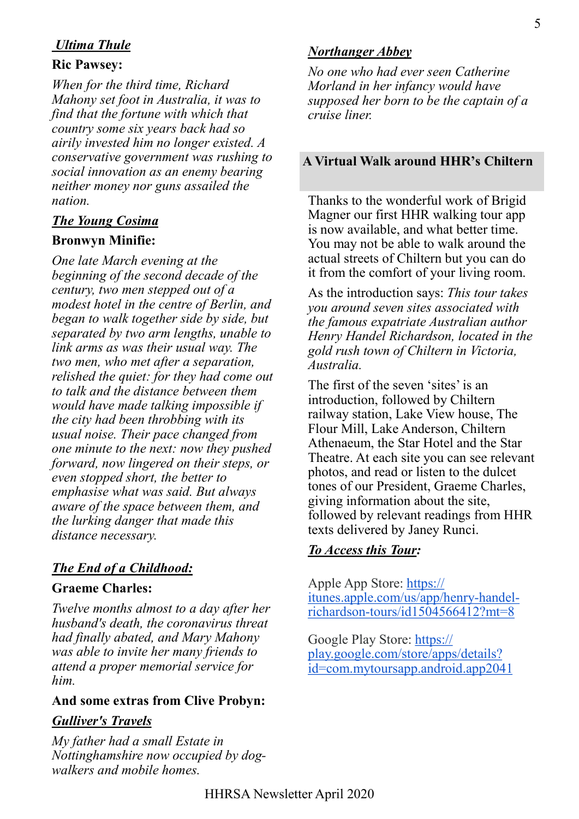# *Ultima Thule*

#### **Ric Pawsey:**

*When for the third time, Richard Mahony set foot in Australia, it was to find that the fortune with which that country some six years back had so airily invested him no longer existed. A conservative government was rushing to social innovation as an enemy bearing neither money nor guns assailed the nation.*

## *The Young Cosima*

## **Bronwyn Minifie:**

*One late March evening at the beginning of the second decade of the century, two men stepped out of a modest hotel in the centre of Berlin, and began to walk together side by side, but separated by two arm lengths, unable to link arms as was their usual way. The two men, who met after a separation, relished the quiet: for they had come out to talk and the distance between them would have made talking impossible if the city had been throbbing with its usual noise. Their pace changed from one minute to the next: now they pushed forward, now lingered on their steps, or even stopped short, the better to emphasise what was said. But always aware of the space between them, and the lurking danger that made this distance necessary.*

# *The End of a Childhood:*

## **Graeme Charles:**

*Twelve months almost to a day after her husband's death, the coronavirus threat had finally abated, and Mary Mahony was able to invite her many friends to attend a proper memorial service for him.*

## **And some extras from Clive Probyn:**

## *Gulliver's Travels*

*My father had a small Estate in Nottinghamshire now occupied by dogwalkers and mobile homes.*

## *Northanger Abbey*

*No one who had ever seen Catherine Morland in her infancy would have supposed her born to be the captain of a cruise liner.*

#### **A Virtual Walk around HHR's Chiltern**

Thanks to the wonderful work of Brigid Magner our first HHR walking tour app is now available, and what better time. You may not be able to walk around the actual streets of Chiltern but you can do it from the comfort of your living room.

As the introduction says: *This tour takes you around seven sites associated with the famous expatriate Australian author Henry Handel Richardson, located in the gold rush town of Chiltern in Victoria, Australia.*

The first of the seven 'sites' is an introduction, followed by Chiltern railway station, Lake View house, The Flour Mill, Lake Anderson, Chiltern Athenaeum, the Star Hotel and the Star Theatre. At each site you can see relevant photos, and read or listen to the dulcet tones of our President, Graeme Charles, giving information about the site, followed by relevant readings from HHR texts delivered by Janey Runci.

## *To Access this Tour:*

Apple App Store: [https://](https://aus01.safelinks.protection.outlook.com/?url=https%3A%2F%2Fitunes.apple.com%2Fus%2Fapp%2Fhenry-handel-richardson-tours%2Fid1504566412%3Fmt%3D8&data=02%7C01%7C%7Ca26bcfc5ac104963b8f208d7dc2df68f%7Cd1323671cdbe4417b4d4bdb24b51316b%7C0%7C0%7C6372199622857) [itunes.apple.com/us/app/henry](https://aus01.safelinks.protection.outlook.com/?url=https%3A%2F%2Fitunes.apple.com%2Fus%2Fapp%2Fhenry-handel-richardson-tours%2Fid1504566412%3Fmt%3D8&data=02%7C01%7C%7Ca26bcfc5ac104963b8f208d7dc2df68f%7Cd1323671cdbe4417b4d4bdb24b51316b%7C0%7C0%7C6372199622857)-handelrichardson-[tours/id1504566412?mt=8](https://aus01.safelinks.protection.outlook.com/?url=https%3A%2F%2Fitunes.apple.com%2Fus%2Fapp%2Fhenry-handel-richardson-tours%2Fid1504566412%3Fmt%3D8&data=02%7C01%7C%7Ca26bcfc5ac104963b8f208d7dc2df68f%7Cd1323671cdbe4417b4d4bdb24b51316b%7C0%7C0%7C6372199622857)

Google Play Store: [https://](https://aus01.safelinks.protection.outlook.com/?url=https%3A%2F%2Fplay.google.com%2Fstore%2Fapps%2Fdetails%3Fid%3Dcom.mytoursapp.android.app2041&data=02%7C01%7C%7Ca26bcfc5ac104963b8f208d7dc2df68f%7Cd1323671cdbe4417b4d4bdb24b51316b%7C0%7C0%7C637219962285728772) [play.google.com/store/apps/details?](https://aus01.safelinks.protection.outlook.com/?url=https%3A%2F%2Fplay.google.com%2Fstore%2Fapps%2Fdetails%3Fid%3Dcom.mytoursapp.android.app2041&data=02%7C01%7C%7Ca26bcfc5ac104963b8f208d7dc2df68f%7Cd1323671cdbe4417b4d4bdb24b51316b%7C0%7C0%7C637219962285728772) [id=com.mytoursapp.android.app2041](https://aus01.safelinks.protection.outlook.com/?url=https%3A%2F%2Fplay.google.com%2Fstore%2Fapps%2Fdetails%3Fid%3Dcom.mytoursapp.android.app2041&data=02%7C01%7C%7Ca26bcfc5ac104963b8f208d7dc2df68f%7Cd1323671cdbe4417b4d4bdb24b51316b%7C0%7C0%7C637219962285728772)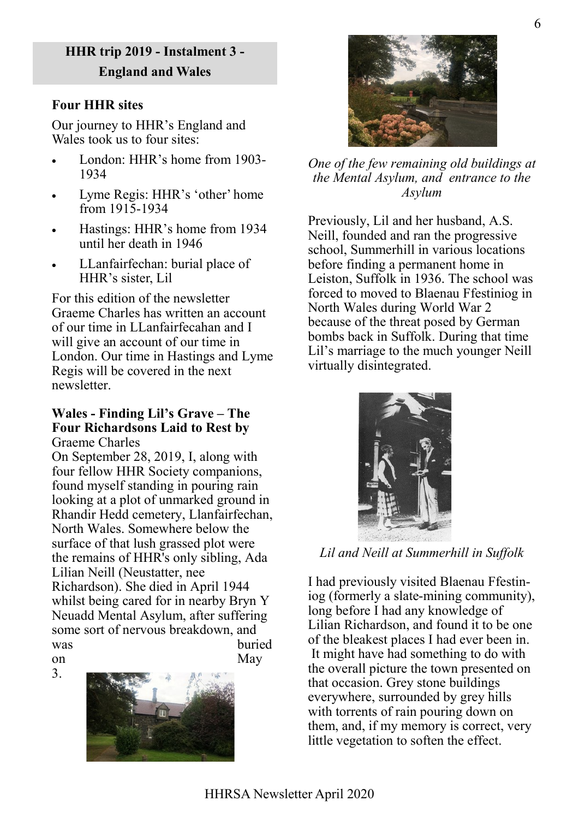# **HHR trip 2019 - Instalment 3 - England and Wales**

# **Four HHR sites**

Our journey to HHR's England and Wales took us to four sites:

- London: HHR's home from 1903- 1934
- Lyme Regis: HHR's 'other' home from 1915-1934
- Hastings: HHR's home from 1934 until her death in 1946
- LLanfairfechan: burial place of HHR's sister, Lil

For this edition of the newsletter Graeme Charles has written an account of our time in LLanfairfecahan and I will give an account of our time in London. Our time in Hastings and Lyme Regis will be covered in the next newsletter.

#### **Wales - Finding Lil's Grave – The Four Richardsons Laid to Rest by** Graeme Charles

On September 28, 2019, I, along with four fellow HHR Society companions, found myself standing in pouring rain looking at a plot of unmarked ground in Rhandir Hedd cemetery, Llanfairfechan, North Wales. Somewhere below the surface of that lush grassed plot were the remains of HHR's only sibling, Ada Lilian Neill (Neustatter, nee Richardson). She died in April 1944 whilst being cared for in nearby Bryn Y Neuadd Mental Asylum, after suffering some sort of nervous breakdown, and was buried on May

3.





*One of the few remaining old buildings at the Mental Asylum, and entrance to the Asylum*

Previously, Lil and her husband, A.S. Neill, founded and ran the progressive school, Summerhill in various locations before finding a permanent home in Leiston, Suffolk in 1936. The school was forced to moved to Blaenau Ffestiniog in North Wales during World War 2 because of the threat posed by German bombs back in Suffolk. During that time Lil's marriage to the much younger Neill virtually disintegrated.



*Lil and Neill at Summerhill in Suffolk*

I had previously visited Blaenau Ffestiniog (formerly a slate-mining community), long before I had any knowledge of Lilian Richardson, and found it to be one of the bleakest places I had ever been in. It might have had something to do with the overall picture the town presented on that occasion. Grey stone buildings everywhere, surrounded by grey hills with torrents of rain pouring down on them, and, if my memory is correct, very little vegetation to soften the effect.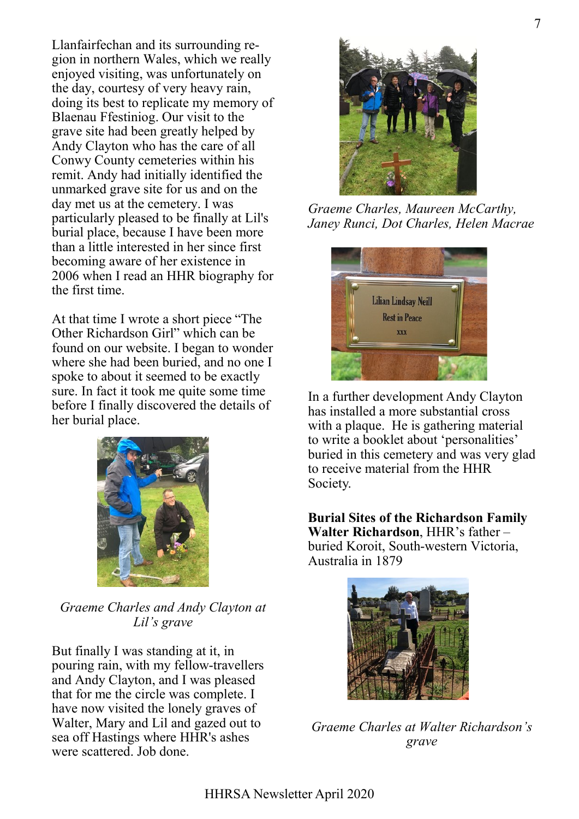Llanfairfechan and its surrounding region in northern Wales, which we really enjoyed visiting, was unfortunately on the day, courtesy of very heavy rain, doing its best to replicate my memory of Blaenau Ffestiniog. Our visit to the grave site had been greatly helped by Andy Clayton who has the care of all Conwy County cemeteries within his remit. Andy had initially identified the unmarked grave site for us and on the day met us at the cemetery. I was particularly pleased to be finally at Lil's burial place, because I have been more than a little interested in her since first becoming aware of her existence in 2006 when I read an HHR biography for the first time.

At that time I wrote a short piece "The Other Richardson Girl" which can be found on our website. I began to wonder where she had been buried, and no one I spoke to about it seemed to be exactly sure. In fact it took me quite some time before I finally discovered the details of her burial place.



*Graeme Charles and Andy Clayton at Lil's grave*

But finally I was standing at it, in pouring rain, with my fellow-travellers and Andy Clayton, and I was pleased that for me the circle was complete. I have now visited the lonely graves of Walter, Mary and Lil and gazed out to sea off Hastings where HHR's ashes were scattered. Job done.



*Graeme Charles, Maureen McCarthy, Janey Runci, Dot Charles, Helen Macrae*



In a further development Andy Clayton has installed a more substantial cross with a plaque. He is gathering material to write a booklet about 'personalities' buried in this cemetery and was very glad to receive material from the HHR Society.

**Burial Sites of the Richardson Family Walter Richardson**, HHR's father – buried Koroit, South-western Victoria, Australia in 1879



*Graeme Charles at Walter Richardson's grave*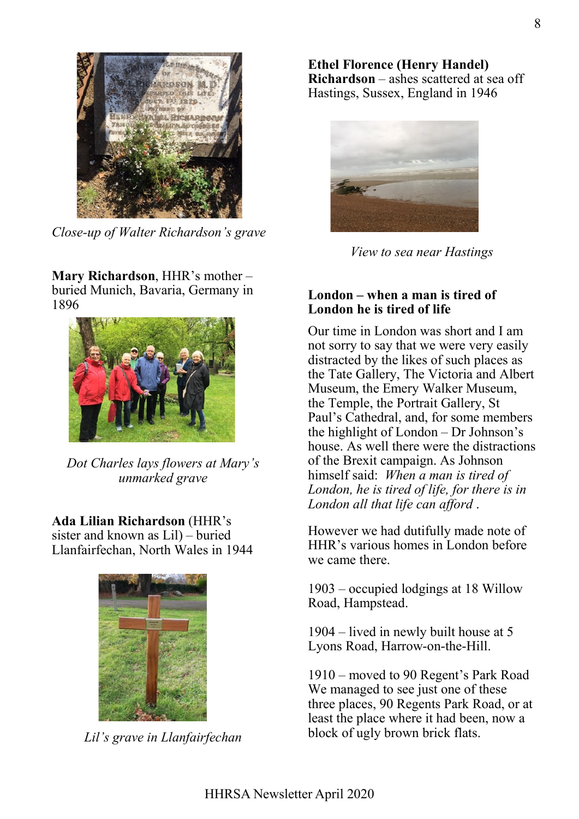

*Close-up of Walter Richardson's grave*

**Mary Richardson**, HHR's mother – buried Munich, Bavaria, Germany in 1896



*Dot Charles lays flowers at Mary's unmarked grave*

**Ada Lilian Richardson** (HHR's sister and known as Lil) – buried Llanfairfechan, North Wales in 1944



*Lil's grave in Llanfairfechan*

**Ethel Florence (Henry Handel) Richardson** – ashes scattered at sea off Hastings, Sussex, England in 1946



*View to sea near Hastings*

#### **London – when a man is tired of London he is tired of life**

Our time in London was short and I am not sorry to say that we were very easily distracted by the likes of such places as the Tate Gallery, The Victoria and Albert Museum, the Emery Walker Museum, the Temple, the Portrait Gallery, St Paul's Cathedral, and, for some members the highlight of London – Dr Johnson's house. As well there were the distractions of the Brexit campaign. As Johnson himself said: *When a man is tired of London, he is tired of life, for there is in London all that life can afford* .

However we had dutifully made note of HHR's various homes in London before we came there.

1903 – occupied lodgings at 18 Willow Road, Hampstead.

1904 – lived in newly built house at 5 Lyons Road, Harrow-on-the-Hill.

1910 – moved to 90 Regent's Park Road We managed to see just one of these three places, 90 Regents Park Road, or at least the place where it had been, now a block of ugly brown brick flats.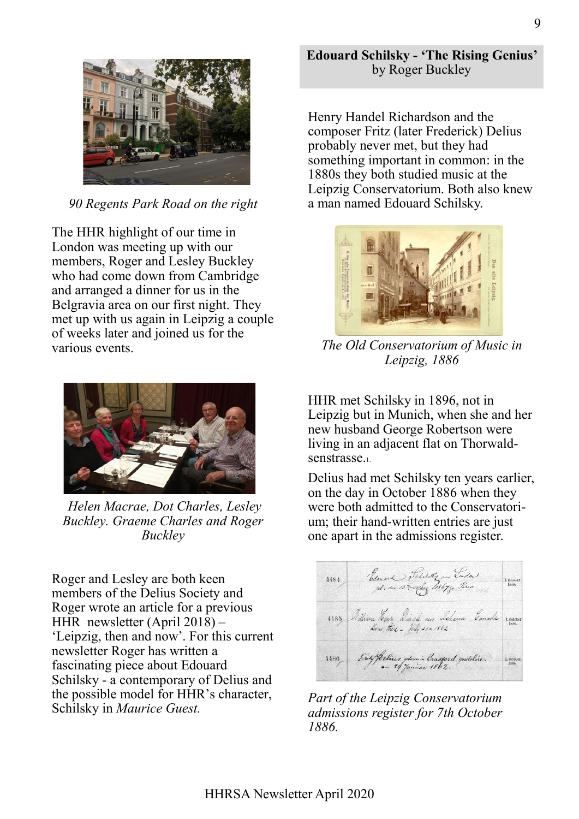

*90 Regents Park Road on the right*

The HHR highlight of our time in London was meeting up with our members, Roger and Lesley Buckley who had come down from Cambridge and arranged a dinner for us in the Belgravia area on our first night. They met up with us again in Leipzig a couple of weeks later and joined us for the various events.



*Helen Macrae, Dot Charles, Lesley Buckley. Graeme Charles and Roger Buckley*

Roger and Lesley are both keen members of the Delius Society and Roger wrote an article for a previous HHR newsletter (April 2018) – 'Leipzig, then and now'. For this current newsletter Roger has written a fascinating piece about Edouard Schilsky - a contemporary of Delius and the possible model for HHR's character, Schilsky in *Maurice Guest.*

Henry Handel Richardson and the composer Fritz (later Frederick) Delius probably never met, but they had something important in common: in the 1880s they both studied music at the Leipzig Conservatorium. Both also knew a man named Edouard Schilsky.



*The Old Conservatorium of Music in Leipzig, 1886*

HHR met Schilsky in 1896, not in Leipzig but in Munich, when she and her new husband George Robertson were living in an adjacent flat on Thorwaldsenstrasse.1.

Delius had met Schilsky ten years earlier, on the day in October 1886 when they were both admitted to the Conservatorium; their hand-written entries are just one apart in the admissions register.



*Part of the Leipzig Conservatorium admissions register for 7th October 1886.*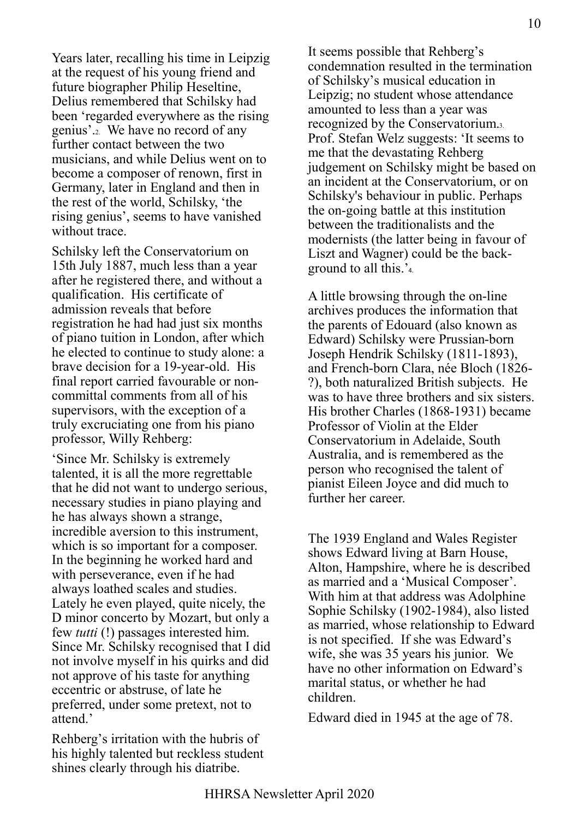Years later, recalling his time in Leipzig at the request of his young friend and future biographer Philip Heseltine, Delius remembered that Schilsky had been 'regarded everywhere as the rising genius'.2. We have no record of any further contact between the two musicians, and while Delius went on to become a composer of renown, first in Germany, later in England and then in the rest of the world, Schilsky, 'the rising genius', seems to have vanished without trace.

Schilsky left the Conservatorium on 15th July 1887, much less than a year after he registered there, and without a qualification. His certificate of admission reveals that before registration he had had just six months of piano tuition in London, after which he elected to continue to study alone: a brave decision for a 19-year-old. His final report carried favourable or noncommittal comments from all of his supervisors, with the exception of a truly excruciating one from his piano professor, Willy Rehberg:

'Since Mr. Schilsky is extremely talented, it is all the more regrettable that he did not want to undergo serious, necessary studies in piano playing and he has always shown a strange, incredible aversion to this instrument, which is so important for a composer. In the beginning he worked hard and with perseverance, even if he had always loathed scales and studies. Lately he even played, quite nicely, the D minor concerto by Mozart, but only a few *tutti* (!) passages interested him. Since Mr. Schilsky recognised that I did not involve myself in his quirks and did not approve of his taste for anything eccentric or abstruse, of late he preferred, under some pretext, not to attend.'

Rehberg's irritation with the hubris of his highly talented but reckless student shines clearly through his diatribe.

It seems possible that Rehberg's condemnation resulted in the termination of Schilsky's musical education in Leipzig; no student whose attendance amounted to less than a year was recognized by the Conservatorium.3. Prof. Stefan Welz suggests: 'It seems to me that the devastating Rehberg judgement on Schilsky might be based on an incident at the Conservatorium, or on Schilsky's behaviour in public. Perhaps the on-going battle at this institution between the traditionalists and the modernists (the latter being in favour of Liszt and Wagner) could be the background to all this.'4.

A little browsing through the on-line archives produces the information that the parents of Edouard (also known as Edward) Schilsky were Prussian-born Joseph Hendrik Schilsky (1811-1893), and French-born Clara, née Bloch (1826- ?), both naturalized British subjects. He was to have three brothers and six sisters. His brother Charles (1868-1931) became Professor of Violin at the Elder Conservatorium in Adelaide, South Australia, and is remembered as the person who recognised the talent of pianist Eileen Joyce and did much to further her career.

The 1939 England and Wales Register shows Edward living at Barn House, Alton, Hampshire, where he is described as married and a 'Musical Composer'. With him at that address was Adolphine Sophie Schilsky (1902-1984), also listed as married, whose relationship to Edward is not specified. If she was Edward's wife, she was 35 years his junior. We have no other information on Edward's marital status, or whether he had children.

Edward died in 1945 at the age of 78.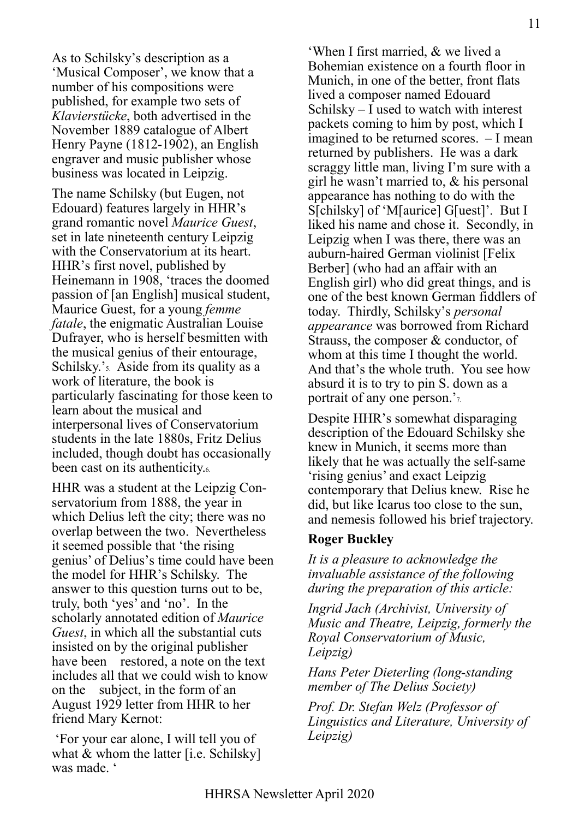As to Schilsky's description as a 'Musical Composer', we know that a number of his compositions were published, for example two sets of *Klavierstücke*, both advertised in the November 1889 catalogue of Albert Henry Payne (1812-1902), an English engraver and music publisher whose business was located in Leipzig.

The name Schilsky (but Eugen, not Edouard) features largely in HHR's grand romantic novel *Maurice Guest*, set in late nineteenth century Leipzig with the Conservatorium at its heart. HHR's first novel, published by Heinemann in 1908, 'traces the doomed passion of [an English] musical student, Maurice Guest, for a young *femme fatale*, the enigmatic Australian Louise Dufrayer, who is herself besmitten with the musical genius of their entourage, Schilsky.'5. Aside from its quality as a work of literature, the book is particularly fascinating for those keen to learn about the musical and interpersonal lives of Conservatorium students in the late 1880s, Fritz Delius included, though doubt has occasionally been cast on its authenticity.

HHR was a student at the Leipzig Conservatorium from 1888, the year in which Delius left the city; there was no overlap between the two. Nevertheless it seemed possible that 'the rising genius' of Delius's time could have been the model for HHR's Schilsky. The answer to this question turns out to be, truly, both 'yes' and 'no'. In the scholarly annotated edition of *Maurice Guest*, in which all the substantial cuts insisted on by the original publisher have been restored, a note on the text includes all that we could wish to know on the subject, in the form of an August 1929 letter from HHR to her friend Mary Kernot:

'For your ear alone, I will tell you of what & whom the latter [i.e. Schilsky] was made. '

'When I first married, & we lived a Bohemian existence on a fourth floor in Munich, in one of the better, front flats lived a composer named Edouard Schilsky – I used to watch with interest packets coming to him by post, which I imagined to be returned scores. – I mean returned by publishers. He was a dark scraggy little man, living I'm sure with a girl he wasn't married to, & his personal appearance has nothing to do with the S[chilsky] of 'M[aurice] G[uest]'. But I liked his name and chose it. Secondly, in Leipzig when I was there, there was an auburn-haired German violinist [Felix Berber] (who had an affair with an English girl) who did great things, and is one of the best known German fiddlers of today. Thirdly, Schilsky's *personal appearance* was borrowed from Richard Strauss, the composer & conductor, of whom at this time I thought the world. And that's the whole truth. You see how absurd it is to try to pin S. down as a portrait of any one person.'7.

Despite HHR's somewhat disparaging description of the Edouard Schilsky she knew in Munich, it seems more than likely that he was actually the self-same 'rising genius' and exact Leipzig contemporary that Delius knew. Rise he did, but like Icarus too close to the sun, and nemesis followed his brief trajectory.

#### **Roger Buckley**

*It is a pleasure to acknowledge the invaluable assistance of the following during the preparation of this article:*

*Ingrid Jach (Archivist, University of Music and Theatre, Leipzig, formerly the Royal Conservatorium of Music, Leipzig)*

*Hans Peter Dieterling (long-standing member of The Delius Society)*

*Prof. Dr. Stefan Welz (Professor of Linguistics and Literature, University of Leipzig)*